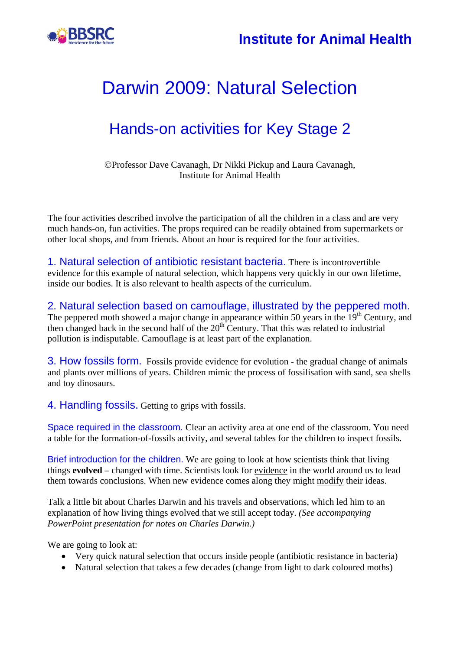



### Hands-on activities for Key Stage 2

©Professor Dave Cavanagh, Dr Nikki Pickup and Laura Cavanagh, Institute for Animal Health

The four activities described involve the participation of all the children in a class and are very much hands-on, fun activities. The props required can be readily obtained from supermarkets or other local shops, and from friends. About an hour is required for the four activities.

1. Natural selection of antibiotic resistant bacteria. There is incontrovertible evidence for this example of natural selection, which happens very quickly in our own lifetime, inside our bodies. It is also relevant to health aspects of the curriculum.

2. Natural selection based on camouflage, illustrated by the peppered moth. The peppered moth showed a major change in appearance within 50 years in the  $19<sup>th</sup>$  Century, and then changed back in the second half of the  $20<sup>th</sup>$  Century. That this was related to industrial pollution is indisputable. Camouflage is at least part of the explanation.

3. How fossils form. Fossils provide evidence for evolution - the gradual change of animals and plants over millions of years. Children mimic the process of fossilisation with sand, sea shells and toy dinosaurs.

4. Handling fossils. Getting to grips with fossils.

Space required in the classroom. Clear an activity area at one end of the classroom. You need a table for the formation-of-fossils activity, and several tables for the children to inspect fossils.

Brief introduction for the children. We are going to look at how scientists think that living things **evolved** – changed with time. Scientists look for evidence in the world around us to lead them towards conclusions. When new evidence comes along they might modify their ideas.

Talk a little bit about Charles Darwin and his travels and observations, which led him to an explanation of how living things evolved that we still accept today. *(See accompanying PowerPoint presentation for notes on Charles Darwin.)* 

We are going to look at:

- Very quick natural selection that occurs inside people (antibiotic resistance in bacteria)
- Natural selection that takes a few decades (change from light to dark coloured moths)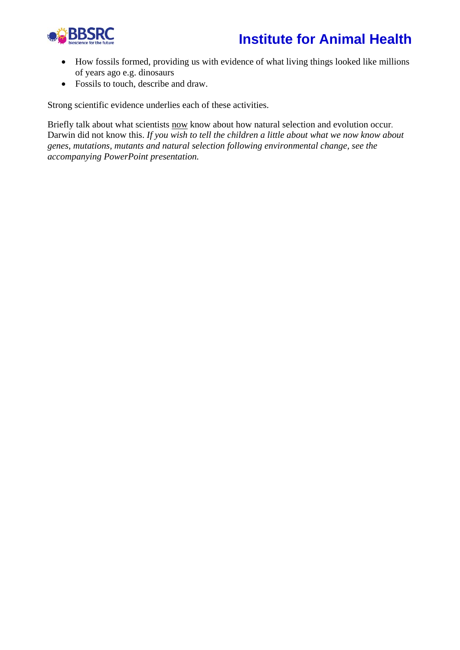### **Institute for Animal Health**



- How fossils formed, providing us with evidence of what living things looked like millions of years ago e.g. dinosaurs
- Fossils to touch, describe and draw.

Strong scientific evidence underlies each of these activities.

Briefly talk about what scientists now know about how natural selection and evolution occur. Darwin did not know this. *If you wish to tell the children a little about what we now know about genes, mutations, mutants and natural selection following environmental change, see the accompanying PowerPoint presentation.*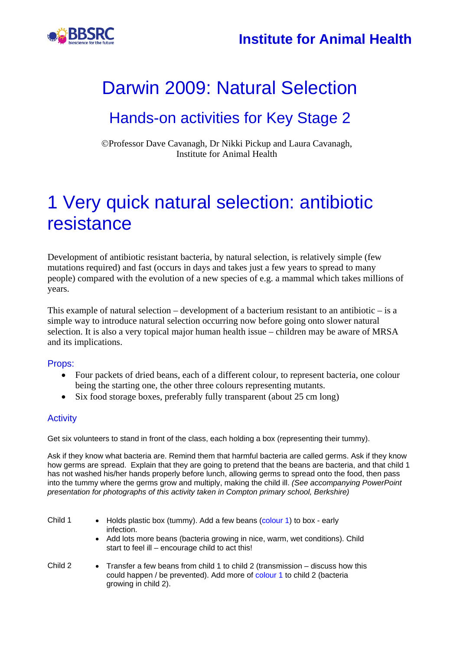

### Hands-on activities for Key Stage 2

©Professor Dave Cavanagh, Dr Nikki Pickup and Laura Cavanagh, Institute for Animal Health

## 1 Very quick natural selection: antibiotic resistance

Development of antibiotic resistant bacteria, by natural selection, is relatively simple (few mutations required) and fast (occurs in days and takes just a few years to spread to many people) compared with the evolution of a new species of e.g. a mammal which takes millions of years.

This example of natural selection – development of a bacterium resistant to an antibiotic – is a simple way to introduce natural selection occurring now before going onto slower natural selection. It is also a very topical major human health issue – children may be aware of MRSA and its implications.

#### Props:

- Four packets of dried beans, each of a different colour, to represent bacteria, one colour being the starting one, the other three colours representing mutants.
- Six food storage boxes, preferably fully transparent (about 25 cm long)

#### **Activity**

Get six volunteers to stand in front of the class, each holding a box (representing their tummy).

Ask if they know what bacteria are. Remind them that harmful bacteria are called germs. Ask if they know how germs are spread. Explain that they are going to pretend that the beans are bacteria, and that child 1 has not washed his/her hands properly before lunch, allowing germs to spread onto the food, then pass into the tummy where the germs grow and multiply, making the child ill. *(See accompanying PowerPoint presentation for photographs of this activity taken in Compton primary school, Berkshire)* 

| Child 1 | • Holds plastic box (tummy). Add a few beans (colour 1) to box - early<br>infection.<br>• Add lots more beans (bacteria growing in nice, warm, wet conditions). Child<br>start to feel ill – encourage child to act this! |
|---------|---------------------------------------------------------------------------------------------------------------------------------------------------------------------------------------------------------------------------|
| Child 2 | • Transfer a few beans from child 1 to child 2 (transmission – discuss how this<br>could happen / be prevented). Add more of colour 1 to child 2 (bacteria                                                                |

growing in child 2).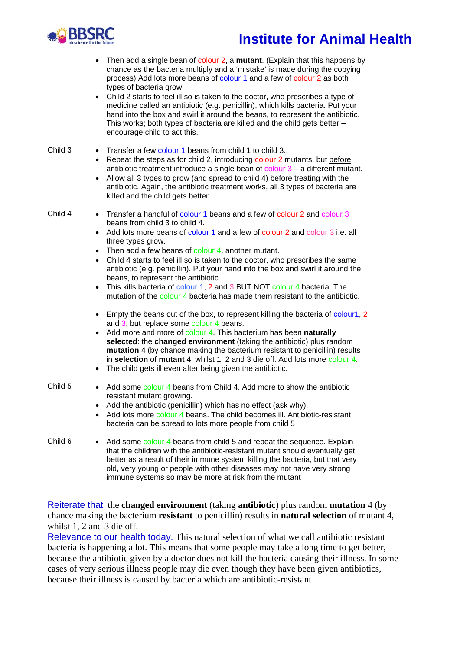

### **Institute for Animal Health**

- Then add a single bean of colour 2, a **mutant**. (Explain that this happens by chance as the bacteria multiply and a 'mistake' is made during the copying process) Add lots more beans of colour 1 and a few of colour 2 as both types of bacteria grow.
- Child 2 starts to feel ill so is taken to the doctor, who prescribes a type of medicine called an antibiotic (e.g. penicillin), which kills bacteria. Put your hand into the box and swirl it around the beans, to represent the antibiotic. This works; both types of bacteria are killed and the child gets better – encourage child to act this.
- Child 3 Transfer a few colour 1 beans from child 1 to child 3. Repeat the steps as for child 2, introducing colour 2 mutants, but before antibiotic treatment introduce a single bean of  $\frac{1}{2}$  – a different mutant.
	- Allow all 3 types to grow (and spread to child 4) before treating with the antibiotic. Again, the antibiotic treatment works, all 3 types of bacteria are killed and the child gets better

- Child 4 Transfer a handful of colour 1 beans and a few of colour 2 and colour 3 beans from child 3 to child 4.
	- Add lots more beans of colour 1 and a few of colour 2 and colour 3 i.e. all three types grow.
	- $\bullet$  Then add a few beans of colour 4, another mutant.
	- Child 4 starts to feel ill so is taken to the doctor, who prescribes the same antibiotic (e.g. penicillin). Put your hand into the box and swirl it around the beans, to represent the antibiotic.
	- This kills bacteria of colour 1, 2 and 3 BUT NOT colour 4 bacteria. The mutation of the colour 4 bacteria has made them resistant to the antibiotic.
	- Empty the beans out of the box, to represent killing the bacteria of colour1, 2 and 3, but replace some colour 4 beans.
	- • Add more and more of colour 4. This bacterium has been **naturally selected**: the **changed environment** (taking the antibiotic) plus random **mutation** 4 (by chance making the bacterium resistant to penicillin) results in **selection** of **mutant** 4, whilst 1, 2 and 3 die off. Add lots more colour 4.
	- The child gets ill even after being given the antibiotic.
- 
- Child 5 Add some colour 4 beans from Child 4. Add more to show the antibiotic resistant mutant growing.
	- Add the antibiotic (penicillin) which has no effect (ask why).
	- Add lots more colour 4 beans. The child becomes ill. Antibiotic-resistant bacteria can be spread to lots more people from child 5
- Child 6 Add some colour 4 beans from child 5 and repeat the sequence. Explain that the children with the antibiotic-resistant mutant should eventually get better as a result of their immune system killing the bacteria, but that very old, very young or people with other diseases may not have very strong immune systems so may be more at risk from the mutant

Reiterate that the **changed environment** (taking **antibiotic**) plus random **mutation** 4 (by chance making the bacterium **resistant** to penicillin) results in **natural selection** of mutant 4, whilst 1, 2 and 3 die off.

Relevance to our health today. This natural selection of what we call antibiotic resistant bacteria is happening a lot. This means that some people may take a long time to get better, because the antibiotic given by a doctor does not kill the bacteria causing their illness. In some cases of very serious illness people may die even though they have been given antibiotics, because their illness is caused by bacteria which are antibiotic-resistant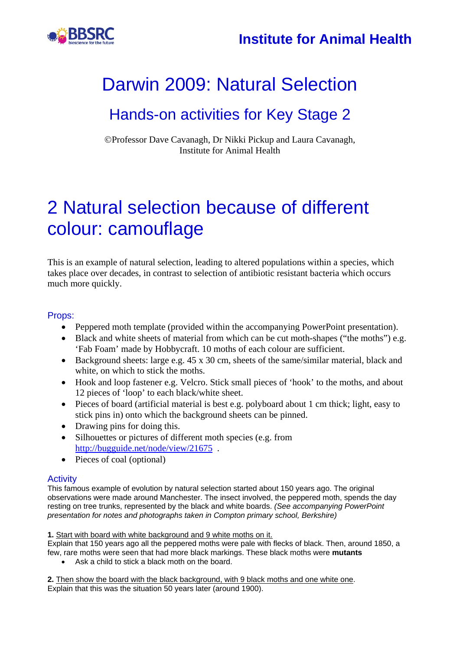

### Hands-on activities for Key Stage 2

©Professor Dave Cavanagh, Dr Nikki Pickup and Laura Cavanagh, Institute for Animal Health

## 2 Natural selection because of different colour: camouflage

This is an example of natural selection, leading to altered populations within a species, which takes place over decades, in contrast to selection of antibiotic resistant bacteria which occurs much more quickly.

#### Props:

- Peppered moth template (provided within the accompanying PowerPoint presentation).
- Black and white sheets of material from which can be cut moth-shapes ("the moths") e.g. 'Fab Foam' made by Hobbycraft. 10 moths of each colour are sufficient.
- Background sheets: large e.g. 45 x 30 cm, sheets of the same/similar material, black and white, on which to stick the moths.
- Hook and loop fastener e.g. Velcro. Stick small pieces of 'hook' to the moths, and about 12 pieces of 'loop' to each black/white sheet.
- Pieces of board (artificial material is best e.g. polyboard about 1 cm thick; light, easy to stick pins in) onto which the background sheets can be pinned.
- Drawing pins for doing this.
- Silhouettes or pictures of different moth species (e.g. from http://bugguide.net/node/view/21675 .
- Pieces of coal (optional)

#### **Activity**

This famous example of evolution by natural selection started about 150 years ago. The original observations were made around Manchester. The insect involved, the peppered moth, spends the day resting on tree trunks, represented by the black and white boards. *(See accompanying PowerPoint presentation for notes and photographs taken in Compton primary school, Berkshire)* 

**1.** Start with board with white background and 9 white moths on it.

Explain that 150 years ago all the peppered moths were pale with flecks of black. Then, around 1850, a few, rare moths were seen that had more black markings. These black moths were **mutants**

• Ask a child to stick a black moth on the board.

**2.** Then show the board with the black background, with 9 black moths and one white one. Explain that this was the situation 50 years later (around 1900).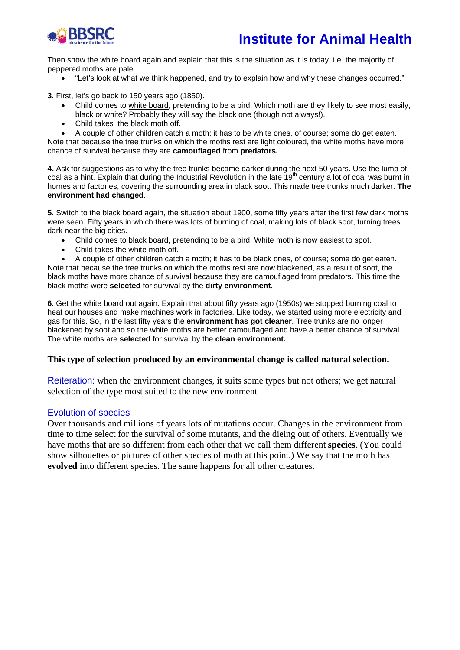

Then show the white board again and explain that this is the situation as it is today, i.e. the majority of peppered moths are pale.

• "Let's look at what we think happened, and try to explain how and why these changes occurred."

**3.** First, let's go back to 150 years ago (1850).

- Child comes to white board, pretending to be a bird. Which moth are they likely to see most easily, black or white? Probably they will say the black one (though not always!).
- Child takes the black moth off.

• A couple of other children catch a moth; it has to be white ones, of course; some do get eaten. Note that because the tree trunks on which the moths rest are light coloured, the white moths have more chance of survival because they are **camouflaged** from **predators.** 

**4.** Ask for suggestions as to why the tree trunks became darker during the next 50 years. Use the lump of coal as a hint. Explain that during the Industrial Revolution in the late 19<sup>th</sup> century a lot of coal was burnt in homes and factories, covering the surrounding area in black soot. This made tree trunks much darker. **The environment had changed**.

**5.** Switch to the black board again, the situation about 1900, some fifty years after the first few dark moths were seen. Fifty years in which there was lots of burning of coal, making lots of black soot, turning trees dark near the big cities.

- Child comes to black board, pretending to be a bird. White moth is now easiest to spot.
- Child takes the white moth off.

• A couple of other children catch a moth; it has to be black ones, of course; some do get eaten. Note that because the tree trunks on which the moths rest are now blackened, as a result of soot, the

black moths have more chance of survival because they are camouflaged from predators. This time the black moths were **selected** for survival by the **dirty environment.** 

**6.** Get the white board out again. Explain that about fifty years ago (1950s) we stopped burning coal to heat our houses and make machines work in factories. Like today, we started using more electricity and gas for this. So, in the last fifty years the **environment has got cleaner**. Tree trunks are no longer blackened by soot and so the white moths are better camouflaged and have a better chance of survival. The white moths are **selected** for survival by the **clean environment.** 

#### **This type of selection produced by an environmental change is called natural selection.**

Reiteration: when the environment changes, it suits some types but not others; we get natural selection of the type most suited to the new environment

#### Evolution of species

Over thousands and millions of years lots of mutations occur. Changes in the environment from time to time select for the survival of some mutants, and the dieing out of others. Eventually we have moths that are so different from each other that we call them different **species**. (You could show silhouettes or pictures of other species of moth at this point.) We say that the moth has **evolved** into different species. The same happens for all other creatures.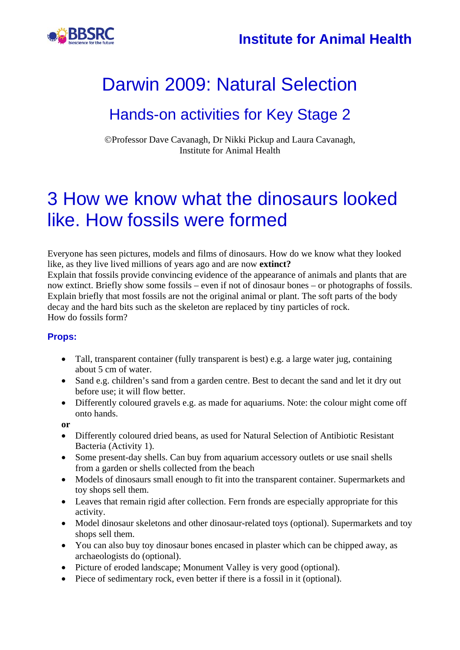

### Hands-on activities for Key Stage 2

©Professor Dave Cavanagh, Dr Nikki Pickup and Laura Cavanagh, Institute for Animal Health

## 3 How we know what the dinosaurs looked like. How fossils were formed

Everyone has seen pictures, models and films of dinosaurs. How do we know what they looked like, as they live lived millions of years ago and are now **extinct?**

Explain that fossils provide convincing evidence of the appearance of animals and plants that are now extinct. Briefly show some fossils – even if not of dinosaur bones – or photographs of fossils. Explain briefly that most fossils are not the original animal or plant. The soft parts of the body decay and the hard bits such as the skeleton are replaced by tiny particles of rock. How do fossils form?

#### **Props:**

- Tall, transparent container (fully transparent is best) e.g. a large water jug, containing about 5 cm of water.
- Sand e.g. children's sand from a garden centre. Best to decant the sand and let it dry out before use; it will flow better.
- Differently coloured gravels e.g. as made for aquariums. Note: the colour might come off onto hands.

**or** 

- Differently coloured dried beans, as used for Natural Selection of Antibiotic Resistant Bacteria (Activity 1).
- Some present-day shells. Can buy from aquarium accessory outlets or use snail shells from a garden or shells collected from the beach
- Models of dinosaurs small enough to fit into the transparent container. Supermarkets and toy shops sell them.
- Leaves that remain rigid after collection. Fern fronds are especially appropriate for this activity.
- Model dinosaur skeletons and other dinosaur-related toys (optional). Supermarkets and toy shops sell them.
- You can also buy toy dinosaur bones encased in plaster which can be chipped away, as archaeologists do (optional).
- Picture of eroded landscape; Monument Valley is very good (optional).
- Piece of sedimentary rock, even better if there is a fossil in it (optional).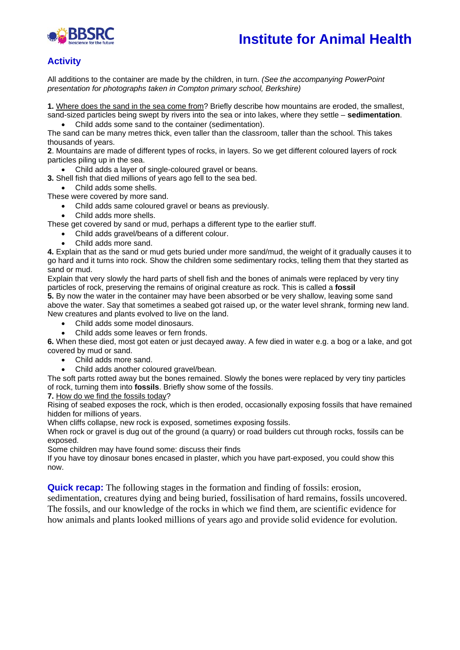

### **Institute for Animal Health**

#### **Activity**

All additions to the container are made by the children, in turn. *(See the accompanying PowerPoint presentation for photographs taken in Compton primary school, Berkshire)* 

**1.** Where does the sand in the sea come from? Briefly describe how mountains are eroded, the smallest, sand-sized particles being swept by rivers into the sea or into lakes, where they settle – **sedimentation**.

• Child adds some sand to the container (sedimentation).

The sand can be many metres thick, even taller than the classroom, taller than the school. This takes thousands of years.

**2**. Mountains are made of different types of rocks, in layers. So we get different coloured layers of rock particles piling up in the sea.

• Child adds a layer of single-coloured gravel or beans.

**3.** Shell fish that died millions of years ago fell to the sea bed.

• Child adds some shells.

These were covered by more sand.

- Child adds same coloured gravel or beans as previously.
- Child adds more shells.

These get covered by sand or mud, perhaps a different type to the earlier stuff.

- Child adds gravel/beans of a different colour.
- Child adds more sand.

**4.** Explain that as the sand or mud gets buried under more sand/mud, the weight of it gradually causes it to go hard and it turns into rock. Show the children some sedimentary rocks, telling them that they started as sand or mud.

Explain that very slowly the hard parts of shell fish and the bones of animals were replaced by very tiny particles of rock, preserving the remains of original creature as rock. This is called a **fossil** 

**5.** By now the water in the container may have been absorbed or be very shallow, leaving some sand above the water. Say that sometimes a seabed got raised up, or the water level shrank, forming new land. New creatures and plants evolved to live on the land.

- Child adds some model dinosaurs.
- Child adds some leaves or fern fronds.

**6.** When these died, most got eaten or just decayed away. A few died in water e.g. a bog or a lake, and got covered by mud or sand.

- Child adds more sand.
- Child adds another coloured gravel/bean.

The soft parts rotted away but the bones remained. Slowly the bones were replaced by very tiny particles of rock, turning them into **fossils**. Briefly show some of the fossils.

**7.** How do we find the fossils today?

Rising of seabed exposes the rock, which is then eroded, occasionally exposing fossils that have remained hidden for millions of years.

When cliffs collapse, new rock is exposed, sometimes exposing fossils.

When rock or gravel is dug out of the ground (a quarry) or road builders cut through rocks, fossils can be exposed.

Some children may have found some: discuss their finds

If you have toy dinosaur bones encased in plaster, which you have part-exposed, you could show this now.

**Quick recap:** The following stages in the formation and finding of fossils: erosion,

sedimentation, creatures dying and being buried, fossilisation of hard remains, fossils uncovered. The fossils, and our knowledge of the rocks in which we find them, are scientific evidence for how animals and plants looked millions of years ago and provide solid evidence for evolution.